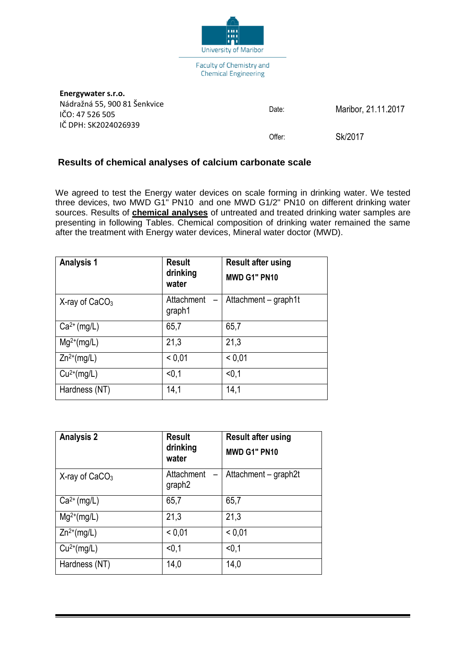

| Energywater s.r.o.                              |        |                     |
|-------------------------------------------------|--------|---------------------|
| Nádražná 55, 900 81 Šenkvice<br>IČO: 47 526 505 | Date:  | Maribor, 21.11.2017 |
| IČ DPH: SK2024026939                            |        |                     |
|                                                 | Offer: | Sk/2017             |

## **Results of chemical analyses of calcium carbonate scale**

We agreed to test the Energy water devices on scale forming in drinking water. We tested three devices, two MWD G1" PN10 and one MWD G1/2" PN10 on different drinking water sources. Results of **chemical analyses** of untreated and treated drinking water samples are presenting in following Tables. Chemical composition of drinking water remained the same after the treatment with Energy water devices, Mineral water doctor (MWD).

| <b>Analysis 1</b>   | <b>Result</b><br>drinking<br>water               | <b>Result after using</b><br>MWD G1" PN10 |
|---------------------|--------------------------------------------------|-------------------------------------------|
| $X$ -ray of $CaCO3$ | Attachment<br>$\overline{\phantom{0}}$<br>graph1 | Attachment - graph1t                      |
| $Ca2+ (mg/L)$       | 65,7                                             | 65,7                                      |
| $Mg^{2+}(mg/L)$     | 21,3                                             | 21,3                                      |
| $Zn^{2+}(mg/L)$     | < 0.01                                           | < 0.01                                    |
| $Cu^{2+}(mg/L)$     | < 0, 1                                           | < 0.1                                     |
| Hardness (NT)       | 14,1                                             | 14,1                                      |

| <b>Analysis 2</b>   | <b>Result</b><br>drinking<br>water | <b>Result after using</b><br>MWD G1" PN10 |
|---------------------|------------------------------------|-------------------------------------------|
| $X$ -ray of $CaCO3$ | Attachment<br>graph <sub>2</sub>   | Attachment - graph2t                      |
| $Ca2+ (mg/L)$       | 65,7                               | 65,7                                      |
| $Mg^{2+}(mg/L)$     | 21,3                               | 21,3                                      |
| $Zn^{2+}(mg/L)$     | < 0.01                             | < 0.01                                    |
| $Cu2+(mg/L)$        | < 0, 1                             | < 0.1                                     |
| Hardness (NT)       | 14,0                               | 14,0                                      |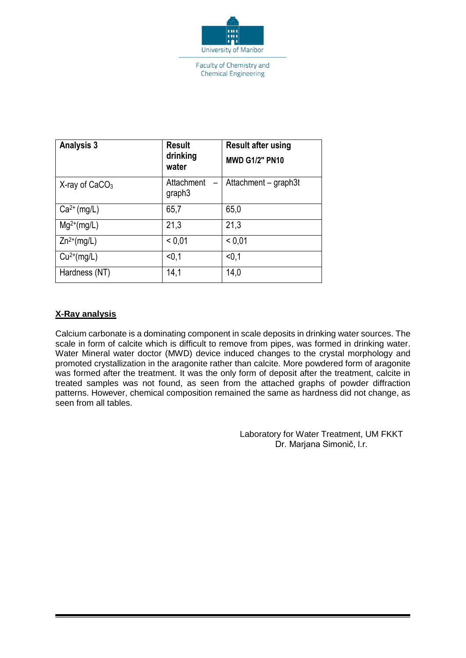

Faculty of Chemistry and **Chemical Engineering** 

| <b>Analysis 3</b>   | <b>Result</b><br>drinking<br>water | <b>Result after using</b><br><b>MWD G1/2" PN10</b> |
|---------------------|------------------------------------|----------------------------------------------------|
| $X$ -ray of $CaCO3$ | Attachment<br>graph <sub>3</sub>   | Attachment - graph3t                               |
| $Ca2+ (mg/L)$       | 65,7                               | 65,0                                               |
| $Mg^{2+}(mg/L)$     | 21,3                               | 21,3                                               |
| $Zn^{2+}(mg/L)$     | < 0.01                             | < 0.01                                             |
| $Cu2+(mg/L)$        | < 0, 1                             | < 0.1                                              |
| Hardness (NT)       | 14,1                               | 14,0                                               |

## **X-Ray analysis**

Calcium carbonate is a dominating component in scale deposits in drinking water sources. The scale in form of calcite which is difficult to remove from pipes, was formed in drinking water. Water Mineral water doctor (MWD) device induced changes to the crystal morphology and promoted crystallization in the aragonite rather than calcite. More powdered form of aragonite was formed after the treatment. It was the only form of deposit after the treatment, calcite in treated samples was not found, as seen from the attached graphs of powder diffraction patterns. However, chemical composition remained the same as hardness did not change, as seen from all tables.

> Laboratory for Water Treatment, UM FKKT Dr. Marjana Simonič, l.r.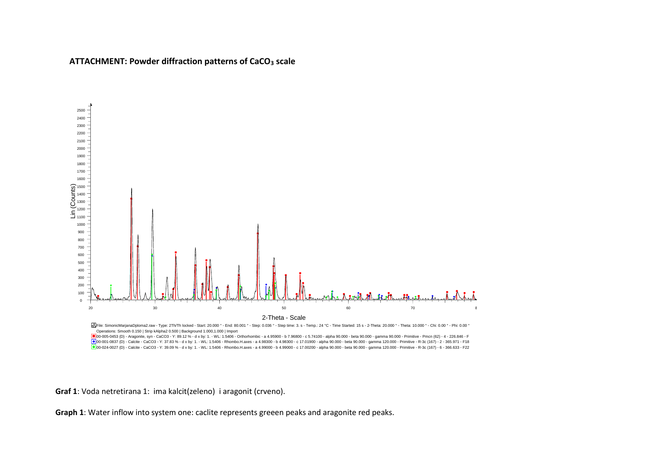**ATTACHMENT: Powder diffraction patterns of CaCO<sup>3</sup> scale**



Operations: Smooth 0.150 | Strip kAlpha2 0.500 | Background 1.000,1.000 | Import

00-005-0453 (D) - Aragonite, syn - CaCO3 - Y: 89.12 % - d x by: 1. - WL: 1.5406 - Orthorhombic - a 4.95900 - b 7.96800 - c 5.74100 - alpha 90.000 - beta 90.000 - gamma 90.000 - Primitive - Pmcn (62) - 4 - 226.846 - F<br>00-01

**Graf 1**: Voda netretirana 1: ima kalcit(zeleno) i aragonit (crveno).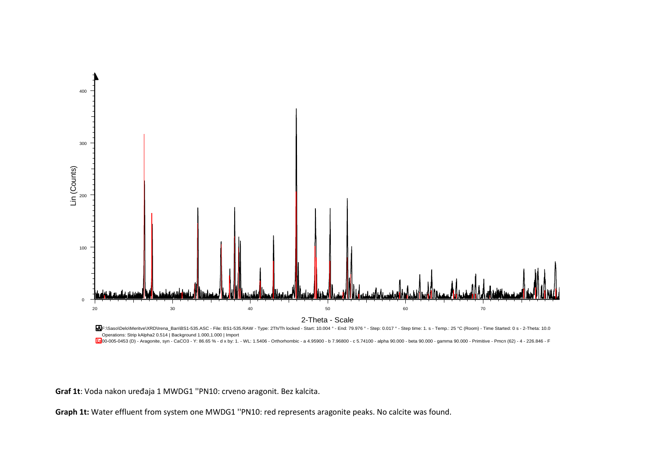

Operations: Strip kAlpha2 0.514 | Background 1.000,1.000 | Import

 $\boxed{\text{10}}$ 00-005-0453 (D) - Aragonite, syn - CaCO3 - Y: 86.65 % - d x by: 1. - WL: 1.5406 - Orthorhombic - a 4.95900 - b 7.96800 - c 5.74100 - alpha 90.000 - beta 90.000 - gamma 90.000 - Primitive - Pmcn (62) - 4 - 226.846

**Graf 1t**: Voda nakon uređaja 1 MWDG1 ''PN10: crveno aragonit. Bez kalcita.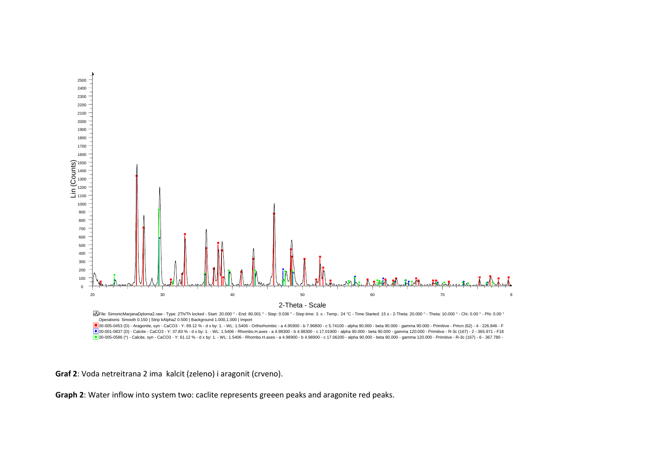



**Graf 2**: Voda netreitrana 2 ima kalcit (zeleno) i aragonit (crveno).

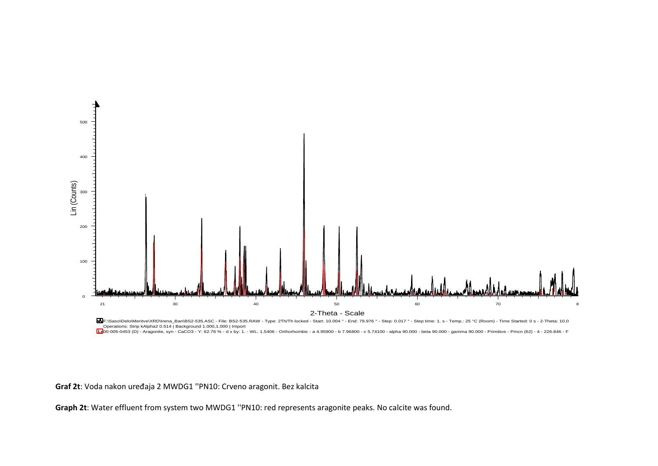

Operations: Strip kAlpha2 0.514 | Background 1.000,1.000 | Import

000-005-0453 (D) - Aragonite, syn - CaCO3 - Y: 62.76 % - d x by: 1. - WL: 1.5406 - Orthorhombic - a 4.95900 - b 7.96800 - c 5.74100 - alpha 90.000 - beta 90.000 - gamma 90.000 - Primitive - Pmcn (62) - 4 - 226.846 - F<br>د

**Graf 2t**: Voda nakon uređaja 2 MWDG1 ''PN10: Crveno aragonit. Bez kalcita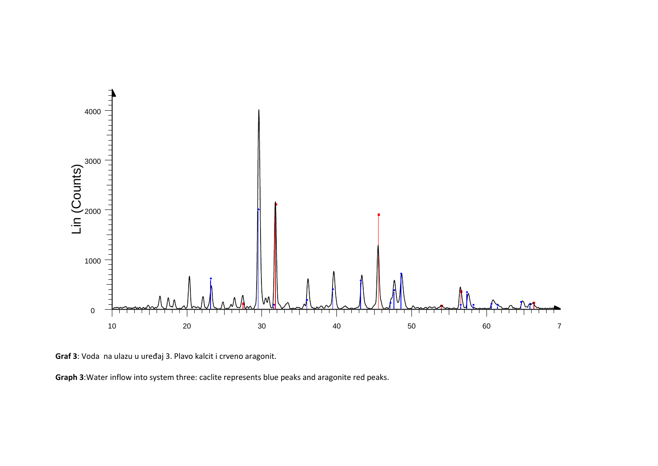

**Graf 3**: Voda na ulazu u uređaj 3. Plavo kalcit i crveno aragonit.

Graph 3: Water inflow into system three: caclite represents blue peaks and aragonite red peaks.